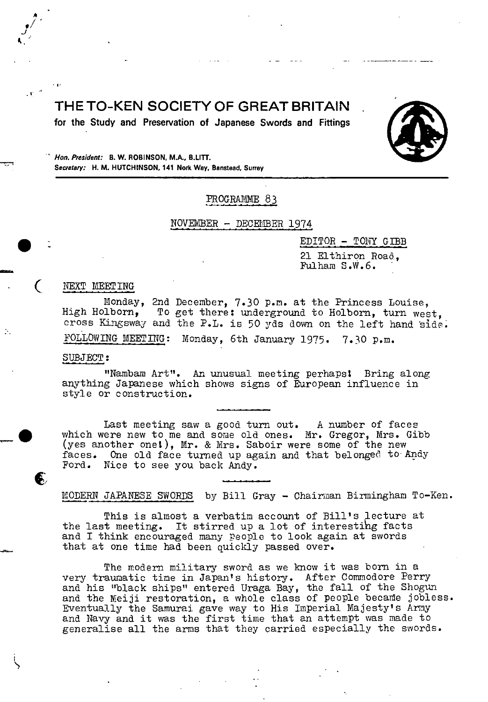# **THE TO-KEN SOCIETY OF GREAT BRITAIN**

**for the Study and Preservation of Japanese Swords and Fittings** 



**Hon. President: B. W. ROBINSON, M.A., B.LITT.**<br> **Secretary:** H. M. HUTCHINSON, 141 Nork Way, Banstead, Surrey *Recretary:* H. M. HUTCHINSON, 141 Nork Way, Banstead, Surrey

# PROGRAMME 83

NOVEMBER - DECE[IBER 1974

 $EDITOR - TONY GIBB$ 

21 Elthiron Road, Fulham S.W.6.

#### NEXT MEETING

A

J øb.

 $\bullet$ 

€1

Monday, 2nd December, 7.30 p.m. at the Princess Louise,<br>High Holborn. To get there: underground to Holborn. turn wes To get there: underground to Holborn, turn west, cross Kingsway and the P.L. is 50 yds down on the left hand side FOLLOWING MEETING: Monday, 6th January 1975. 7.30 p.m.

#### SUBJECT:

"Nambam Art". An unusual meeting perhapst Bring along anything Japanese which shows signs of European influence in style or construction.

Last meeting saw a good turn out. A number of faces which were new to me and some old ones. Mr. Gregor, Mrs. Gibb which were new to me and some old ones. Mr. Gregor, Mrs. G.<br>(yes another one!), Mr. & Mrs. Saboir were some of the new faces. One old face turned up again and that belonged to-Andy Ford. Nice to see you back Andy.

MODERN JAPAIESE SWORDS by Bill Gray - Chairman Birmingham To-Ken.

This is almost a verbatim account of Bill's lecture at the last meeting. It stirred up a lot of interestihg facts and I think encouraged many people to look again at swords that at one time had been quickly passed over.

The modern military sword as we know it was born in a very traumatic time in Japan's history. After Commodore Perry and his "black ships" entered Uraga Bay, the fall of the Shogun and the Meiji restoration, a whole class of people became jobless. Eventually the Samurai gave way to His Imperial Majesty's Army and Navy and it was the first time that an attempt was made to generalise all the arms that they carried especially the swords.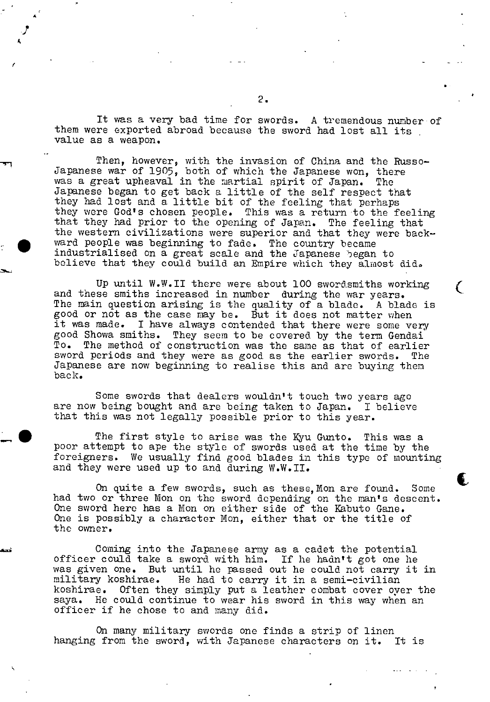It was a very bad time for swords. A tremendous number of them were exported abroad because the sword had lost all its value as a weapon.

**a** 

•1

 $\bullet$ 

I.,

Then, however, with the invasion of China and the Russo-Japanese war of 1905, both of which the Japanese won, there was a great upheaval in the martial spirit of Japan. The was a great upheaval in the martial spirit of Japan. Jajmnese began to get back a little of the self respect that they had lost and a little bit of the feeling that perhaps they were God's chosen people. This was a return to the feeling that they had prior to the opening of Japan. The feeling that the western civilizations were superior and that they were backward people was beginning to fade. The country became industrialised on a great scale and the Japanese 5egan to believe that they could build an Empire which they almost did.

Up until W.W.II there were about 100 swordsmiths working and these smiths increased in number during the war years. The main question arising is the quality of a blade. A blade is good or not as the case may be. But it does not matter when it was made. I have always contended that there were some very good Showa smiths. They seem to be covered by the term Gendai<br>To. The method of construction was the same as that of earlier The method of construction was the same as that of earlier sword periods and they were as good as the earlier swords. The Japanese are now beginning to realise this and are buying them back.

 $\mathcal{L}$ 

 $\bullet$ 

Some swords that dealers wouldn't touch two years ago are now being bought and are being taken to Japan. I believe that this was not legally possible prior to this year.

The first style to arise was the Kyu Gunto. This was a poor attempt to ape the style of swords used at the time by the foreigners. We usually find good blades in this type of mounting and they were used up to and during W.W.II.

On quite a few swords, such as these, Mon are found. Some had two or three Mon on the sword depending on the man's descent. One sword here has a Non on either side of the Kabuto Ganc. One is possibly a character Non, either that or the title of the owner.

Coming into the Japanese army as a cadet the potential officer could take a sword with him. If he hadn't got one he was given one. But until he passed out he could not carry it in military koshirae. He had to carry it in a semi-civilian koshirae. Often they simply put a leather combat cover over the saya. He could continue to wear his sword in this way when an officer if he chose to and many did.

On many military swords one finds a strip of linen<br>from the sword, with Japanese characters on it. It is hanging from the sword, with Japanese characters on it.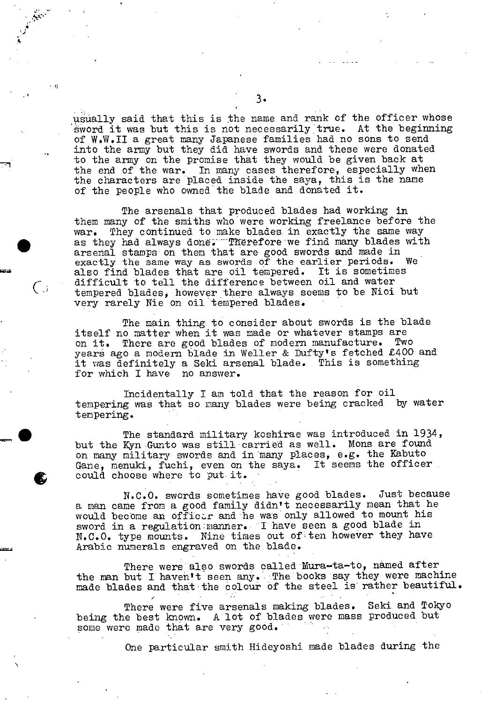usually said that this is the name and rank of the officer whose sword it was but this is not necessarily true. At the beginning of W.W.II a great many Japanese families had no sons to send into the army but they did have swords and these were donated to the army on the promise that they would be given back at the end of the war. In many cases therefore, especially when the characters are placed inside the saya, this is the name of the people who owned the blade and donated it.

The arsenals that produced blades had working in them many of the smiths who were working freelance before the war. They continued to make blades. in exactly the same way as they had always done. Therefore we find many blades with arsenal stamps on them that are good swords and made in exactly the same way as swords of the earlier periods. We exactly the same way as swords of the earlier periods. Walso find blades that are oil tempered. It is sometimes also find blades that are oil tempered. difficult to tell the difference between oil and water tempered blades, however there always seems to be Nioi but very rarely Nie on oil tempered blades.

The main thing to consider about swords is the blade itself no matter when it was made or whatever stamps are<br>on it, There are good blades of modern manufacture. Two on it. There are good blades of modern manufacture. years ago a modern blade in Weller & Dufty's fetched £400 and it was definitely a Seki arsenal blade. This is something for which I have no answer.

Incidentally I am told that the reason for oil<br>g was that so many blades were being cracked by water tempering was that so many blades were being cracked tempering.

• The standard military koshirae was introduced in 1934, but the Kyn Gunto was still carried as well. Mons are found on many military swords and in many places, e.g. the Kabuto Gane, menuki, fuchi, even on the saya. It seems the officer could choose where to put it.

N.C.O. swords sometimes have good blades. Just because a man came from a good family didn't necessarily mean that he would become an offictr and he was only allowed to mount his sword in a regulation:manner. I have seen a good blade in  $N.C.O.$  type mounts. Nine times out of ten however they have Nine times out of ten however they have Arabic numerals engraved on the blade.

There were also swords called Mura-ta-to, named after the man but I haven't seen any. The books say they were machine made blades and that the colour of the steel is rather beautiful.

There were five arsenals making blades. Seki and Tokyo being the best known. A lot of blades were mass produced but some were made that are very good.

One particular smith Hideyoshi made blades during the

io

 $\bigcirc$ 

**a**  '-I •1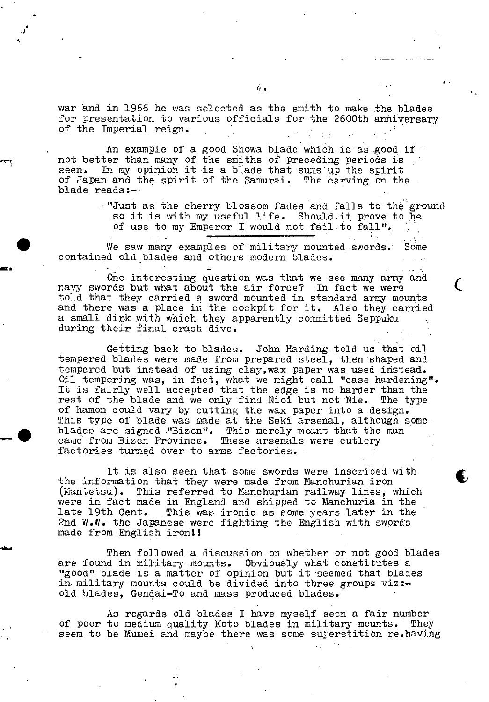war and in 1966 he was selected as the smith to make the blades for presentation to various officials for the 2600th anniversary of the Imperial reign.

a

*'I* 

An example of a good Showa blade which is as good if not better than many of the smiths of preceding periods is seen. In my opinion it is a blade that sums up the spirit of Japan and the spirit of the Samurai. The carving on the blade reads:-

> .. "Just as the cherry blossom fades and falls to the ground so it is with my useful life. Should it prove to be of use to my Emperor I would not fail to fall".

> > $\zeta$

 $\blacktriangledown$ 

We saw many examples of military mounted swords. Some contained old blades and others modem blades.

One interesting question was that we see many army and navy swords but what about the air force? In fact we were told that they carried a sword mounted in standard army mounts and there was a place in the cockpit for it. Also they carried a small dirk with which they apparently committed Seppuku during their final crash dive.

Getting back to blades. John Harding told us that oil tempered blades were made from prepared steel, then shaped and tempered but instead of using clay,wax paper was used instead. Oil tempering was, in fact, what we might call "case hardening". It is fairly well accepted that the edge is no harder than the rest of the blade and we only find Nioi but not Nie. The type of hamon could vary by cutting the wax paper into a design. This type of blade was made at the Seki arsenal, although some blades are signed "Bizen". This merely meant that the man came from Bizen Province. These arsenals were cutlery factories turned over to arms factories.

It is also seen that some swords were inscribed with the information that they were made from Manchurian iron (Mantetsu). This referred to Nanchurian railway lines, which were in fact made in England and shipped to Manchuria in the late 19th Cent. This was ironic as some years later in the 2nd W.W. the Japanese were fighting the English with swords made from English ironli

Then followed a discussion on whether or not good blades are found in military mounts. Obviously what constitutes a "good" blade is a matter of opinion but it seemed that blades in military mounts could be divided into three groups viz:old blades, Gendai-To and mass produced blades.

As regards old blades I have myself seen a fair number of poor to medium quality Koto blades in military mounts. They seem to be Mumei and maybe there was some superstition re.having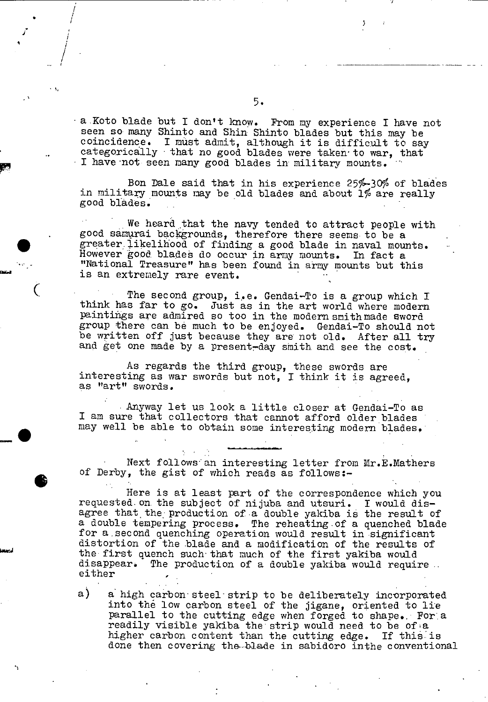• aKoto blade but I don't know, from my experience I have not seen so many Shinto and Shin Shinto blades but this may be coincidence. I must admit, although it is difficult to say categorically that no good blades were taken to war, that I have not seen many good blades in military mounts.

Bon Dale said that in his experience 25%.-30% of blades in military mounts may be old blades and about 1% are really good blades.

We heard that the navy tended to attract people with good samurai backgrounds, therefore there seems- to be a • greater.iikelihood of finding a good blade in naval mounts. However good blades do occur in army mounts. In fact a "National Treasure" has been found in army mounts but this is an extremely rare event.

The second group, i.e. Gendai-To is a group which I think has far to go. Just as in the art world where modern paintings are admired so too in the modern smith made sword group there can be much to be enjoyed. Gendai-To should not be written off just because they are not old. After all try and get one made by a present-day smith and see the cost.

As regards the third group, these swords are interesting as war swords but not, I think it is agreed, as "art" swords.

Anyway let us look a little closer at Gendai-To as I am sure that collectors that cannot afford older blades may well be able to obtain some interesting modern blades.

Next follows an interesting letter from Mr.E.Mathers of Derby, the gist of which reads as follows:-

Here is at least part of the correspondence which you requested. on. the subject of nijuba and utsuri. I would disagree that the production of a double yakiba is the result of a double tempering process. The reheating-of a quenched blade for a second quenching operation would result in significant distortion of the blade and a modification of the results of the first quench such' that much of the first yakiba would disappear. The production of a double yakiba would require. either

a) a high carbon steel strip to be deliberately incorporated into the low carbon steel of the jigane, oriented to lie parallel to the cutting edge when forged to shape.. For.a readily visible yakiba the strip would need to be of a higher carbon content than the cutting edge. If this is done then covering the--blade in sabidoro inthe conventional

I,

/

4

0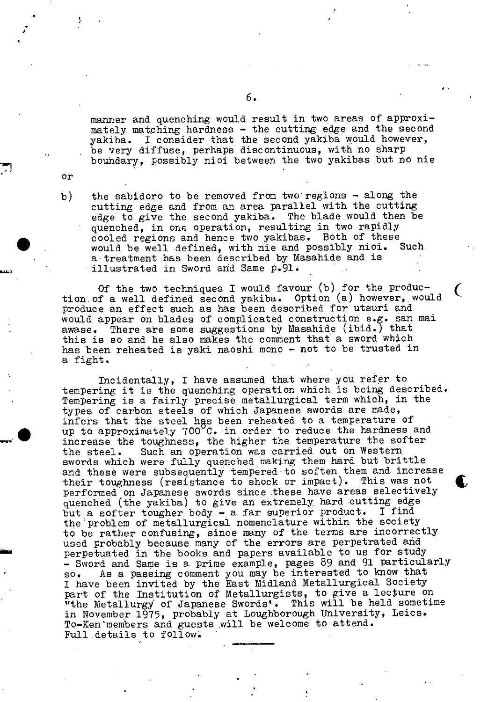manner and quenching would result in two areas of approximately matching hardness - the cutting edge and the second yakiba. I consider that the second yakiba would however, be very diffuse, perhaps discontinuous, with no sharp bouhdary, possibly nioi between the two yakibas but no nie

4.

or

J.

b) the sabidoro to be removed from two regions - along the cutting edge and from an area parallel with the cutting edge to give the second yakiba. The blade would then be quenched, in one operation, resulting in two rapidly cooled regions and hence two yakibas. Both of these<br>would be well defined, with nie and possibly nioi. Such would be well defined, with nie and possibly nioi. a treatment has been described by Masahide and is illustrated in Sword and Same p.91.

Of the two techniques I would favour (b) for the produc-<br>tion of a well defined second yakiba. Option (a) however, would produce an effect such as has been described for utsuri and would appear on blades of complicated construction e.g. san mai awase. There are some suggestions by Masahide (ibid.) that this is so and he also makes the comment that a sword which has been reheated is yaki naoshi mono - not to be trusted in a fight.

Incidentally, I have assumed that where you refer to tempering it is the quenching operation which is being described. Tempering is a fairly precise metallurgical term which, in the types of carbon steels of which Japanese swords are made, infers that the steel has been reheated to a temperature of up to approximately 700 C. in order to reduce the hardness and increase the toughness, the higher the temperature the softer the steel. Such an operation was carried out on Western swords which were fully quenched making them hard but brittle and these were subsequently tempered to soften them and increase<br>their toughness (resistance to shock or impact). This was not<br>porformed on Japanese swords since these have areas selectively performed on Japanese swords since these have areas selectively quenched (the yakiba) to give an extremely hard cutting edge<br>but a softer tougher body - a far superior product. I find but a softer tougher body - a far superior product. the problem of metallurgical nomenclature within the society to be rather confusing, since many of the terms are incorrectly used probably because many of the errors are perpetrated and perpetuated in the books and papers available to us for study - Sword and Same is a prime example, pages 89 and 91 particularly so. As a passing comment you may be interested to know that As a passing comment you may be interested to know that I have been invited by the East Midland Metallurgical Society part of the Institution of Metallurgists, to give a lecture on "the Metallurgy of Japanese Swords'. This will be held sometime in November 1975, probably at Loughborough University, Leics. To-Ken members and guests will be welcome to attend. Full details to follow.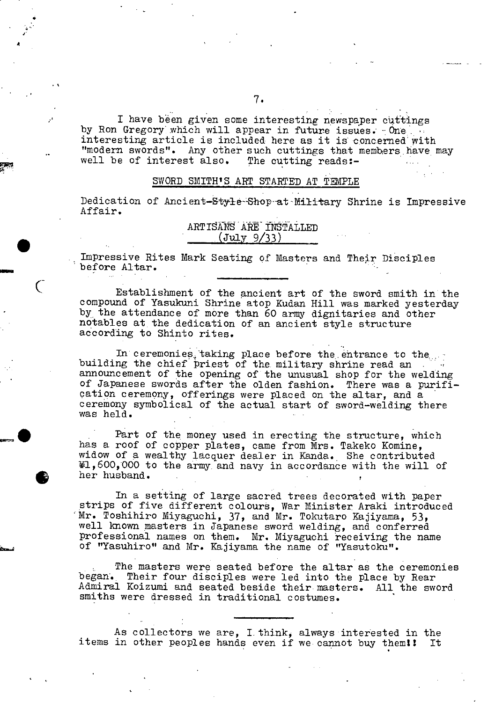I have been given some interesting newspaper cuttings by Ron Gregory which will appear in future issues. One interesting article is included here as it is concerned with "modern swords". Any other such cuttings that members have may well be of interest also. The cutting reads:-

### SWORD SMITH'S ART STARTED AT TEMPLE

Dedication of Ancient-Style-Shop at Military Shrine is Impressive Affair.

| ARTISANS ARE INSTALLED |             |  |
|------------------------|-------------|--|
|                        | (July 9/33) |  |

Impressive Rites Mark Seating of Masters and Their Disciples before Altar.

Establishment of the ancient art of the sword smith in the compound of Yasukuni Shrine atop Kudan Hill was marked yesterday by the attendance of more than 60 army dignitaries and other notables at the dedication of an ancient style structure according to Shinto rites.

In ceremonies taking place before the entrance to the. building the chief priest of the. military shrine read an announcement of the opening of the unusual shop for the welding of Japanese swords after the olden fashion. There was a purification ceremony, offerings were placed on the altar, and a ceremony symbolical of the actual start of sword-welding there was held.

Part of the money used in erecting the structure, which has a roof of copper plates, came from Mrs. Takeko Komine, widow of a wealthy lacquer dealer in Kanda. She contributed  $H$ ,600,000 to the army and navy in accordance with the will of widow of a we<br>
\tidow of a we<br>
\tidow of a we<br>
\tidow of a we<br>
her husband.

In a setting of large sacred trees decorated with paper strips of five different colours, War Minister Araki introduced Mr. Toshihiro Miyaguchi, 37, and Mr. Tokutaro Kajiyama, 53, well known masters in Japanese sword welding, and conferred professional names on them. Mr. Miyaguchi receiving the name of "Yasuhiro" and Mr. Kajiyama the name of "Yasutoku".

The masters were seated before the altar as the ceremonies began. Their four disciples were led into the place by Rear Admiral Koizumi and seated beside their masters. All the sword smiths were dressed in traditional costumes.

As collectors we are, I. think, always interested in the items in other peoples hands even if we cannot buy them!! It

I \*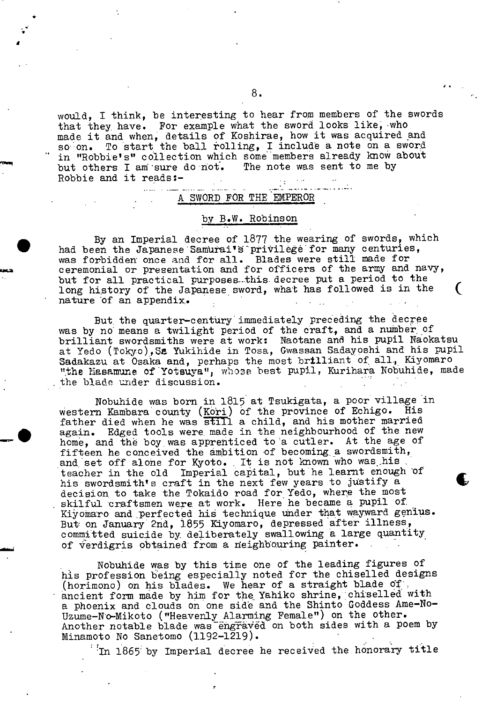would, I think, be interesting to hear from members of the swords that they have. For example what the sword looks like; who made it and when, details of Koshirae, how it was acquired and so on. To start the ball rolling, I include a note on a sword in "Robbie's" collection which some members already know about<br>but others I am sure do not. The note was sent to me by but others I am sure do not. Robbie and it reads:-

# A SWORD FOR THE EMPEROR

and the second control of the second

#### by B.W. Robinson

. By an Imperial decree of 1877 the wearing of swords, which had been the Japanese Samurai's privilege for many centuries, was forbidden once and for all. Blades were still made for ceremonial or presentation and for officers of the army and navy, but for all practical purposes this decree put a period to the long history of the Japanese sword, what has followed is in the ( nature 'of an appendix,.

But the quarter-century immediately preceding the decree was by no means a twilight period of the craft, and a number of brilliant swordsmiths were at work: Naotane and his pupil Naokatsu at Yedo (Tokyo),Se. Yukihide in Tosa, Gwassan Sadayoshi and his pupil Sadakazu at Osaka and, perhaps the most brilliant of all, Kiyomaro "the Masamune of Yotsuya", whose best pupil, Kurihara Nobuhide, made the blade under discussion.

Nobuhide was born in 1815 at Tsukigata, a poor village in western Kambara county (Kori) of the province of Echigo. His father died when he was still a child, and his mother married again. Edged tools were, made in the neighbourhood of the new home, and the boy was apprenticed to a cutler. At the age of fifteen he conceived the ambition of becoming, a swordsmith, and set off alone for Kyoto. It is not known who was his teacher in the old Imperial capital, but he learnt enough of the swordsmith's craft in the next few years to justify a decision, to take the Tokaido road for Yedo, where the most skilful craftsmen were at work. Here he became a pupil of Kiyomaro and perfected his technique under that wayward genius. But on January 2nd, 1855 Kiyomaro, depressed after illness,, committed suicide by deliberately swallowing a large quantity of verdigris obtained from a neighbouring painter.

Nobuhide was by this time one of the leading figures of his profession being especially noted for the chiselled designs (horimono) on his blades. We hear of a straight blade of .<br>ancient form made by him for the Yahiko shrine, chiselled with a phoenix and clouds on one side and the Shinto Goddess Ame-No-Uzume-N'o-Mikoto ("Heavenly Alarming Female") on the other. Another notable blade was ëngraved on both sides with a poem by Minamoto No Sanetomo (1192-1219).

In 1865 by Imperial decree he received the honorary title

'4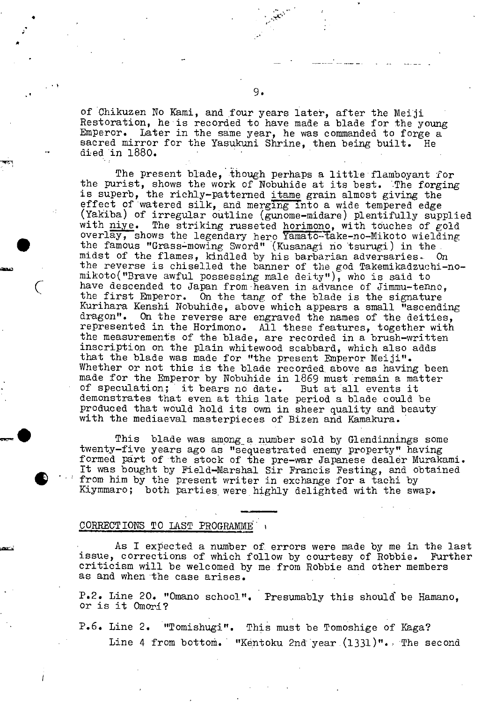of Chikuzen No Kami, and four years later, after the Meiji Restoration, he is recorded to have made a blade for the young Emperor. Later in the same year, he was commanded to forge a sacred mirror for the Yasukuni Shrine, then being built. He died in 1880.

The present blade, though perhaps a little flamboyant for the purist, shows the work of Nobuhide at its best. The forging is superb, the richly-patterned itame grain almost giving the effect of watered silk, and merging into a wide tempered edge (Yakiba) of irregular outline (gunome-midare) plentifully supplied with niye. The striking russeted horimono, with touches of gold overlay, shows the legendary hero Yamato-take-no-Mikoto wielding the famous "Grass-mowing Sword" (Kusanagi no tsurugi) in the midst of the flames, kindled by his barbarian adversaries.. On the reverse is chiselled the banner of the god Takemikadzuchi-nomikoto("Brave awful possessing male deity"), who is said to have descended to Japan from heaven in advance of Jimmu-tenno, the first Emperor. On the tang of the blade is the signature On the tang of the blade is the signature Kurihara Kenshi Nobuhide, above which appears a small "ascending dragon". On the reverse are engraved the names of the deities, represented in the Horimono. All these features, together with the measurements of the blade, are recorded in a brush-written inscription on the plain whitewood scabbard, which also adds that the blade was made for "the present Emperor Meiji". Whether or not this is the blade recorded above as having been made for the Emperor by Nobuhide in 1869 must remain a matter of speculation; it bears no date. But at all events it of speculation; it bears no date. demonstrates that even at this late period a blade could be produced that would hold its own in sheer quality and beauty' with the mediaeval masterpieces of Bizen and Kamakura.

This blade was among a number sold by Glendinnings some twenty-five years ago as "sequestrated enemy property" having formed part of the stock of the pre-war Japanese dealer Murakami. It was bought by Field-Marshal Sir francis Festing, and obtained formed part of the stock of the pre-war Japanese dealer Mura<br>It was bought by Field-Marshal Sir Francis Festing, and obta<br>from him by the present writer in exchange for a tachi by<br>Kiymmaro; both parties were highly delight

## CORRECTIONS TO LAST PROGRAMME

V

As I expected a number of errors were made by me in the last<br>corrections of which follow by courtesy of Robbie. Further issue, corrections of which follow by courtesy of Robbie. criticism will be welcomed by me from Bobbie and other members as and when the case arises.

P.2. Line 20. "Omano school". Presumably this should be Hamano, or is it Omorl?

P.6. Line 2. "Tomishugi". This must be Tomoshige of Kaga? Line 4 from bottom. "Kéntoku 2nd'year.(1331)". The second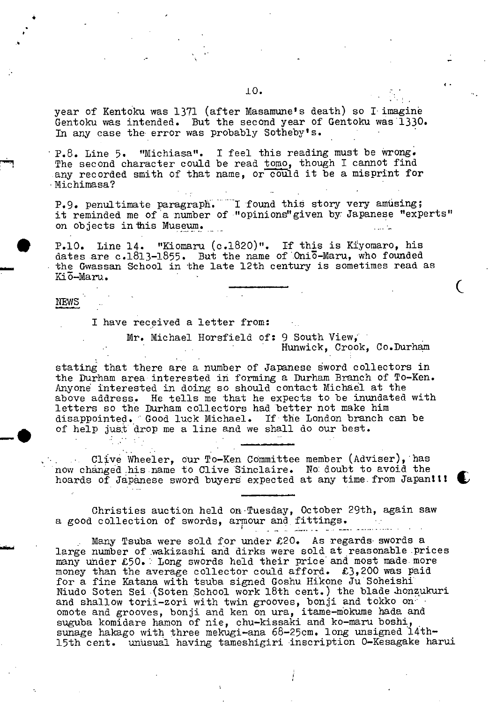year of Kentoku was 1371 (after Masamune's death) so I imagine Gentoku was intended. But the second year of Gentoku was 1330. In any case the error was probably Sotheby's.

P.8. Line 5. "Michiasa". I feel this reading must be wrong. The second character could be read tomo, though I cannot find any recorded smith of that name, or could it be a misprint for • Michimasa?

P.9. penultimate paragraph. I found this story very amusing; it reminded me of a number of "opinions" given by Japanese "experts" on objects in this Museum.

P.10. Line 14. "Kiomaru (c.1820)". If this is Kiyomaro, his dates are  $c.1813-1855$ . But the name of Oni $\overline{0}$ -Maru, who founded the Gwassan School in the late 12th century is sometimes read as Kiō-Maru.

#### NEWS

I have received a letter from:

Mr. Michael Horsfield of: 9 South View, Hunwick, Crook, Co.Durham

stating that there are a number of Japanese sword collectors in the Durham area interested in forming a Durham Branch of To-Ken. Anyone interested in doing so should contact Michael at the above address. He tells me that he expects to be inundated with letters so the Durham collectors had better not make him disappointed. Good luck Michael. If the London branch can be of help just drop me a line and we shall do our best.

Olive Wheeler, our To-Ken Committee member (Adviser), has now changed his name to Olive Sinclaire. No: doubt to avoid the hoards of Japanese sword buyers expected at any time from Japan!!!

Christies auction held on Tuesday, October 29th, again saw a good collection of swords, armour and fittings.

Many Tsuba were sold for under  $£20$ . As regards swords a large number of wakizashi and dirks were sold at reasonable prices many under £50. Long swords held their price and most made more money than the average collector could afford. £3,200 was raid for a fine Katana with tsuba signed Goshu Hikone Ju Soheishi Niudo Soten Sei (Soten School work 18th cent.) the blade honzukuri and shallow torii-zori with twin grooves, bonji and tokko on omote and grooves, bonji and ken on ura, itame-mokume hada and suguba komidare hamon of nie, chu-kissaki and ko-maru boshi, sunage hakago with three mekugi-ana 68-25cm. long unsigned l4th. 15th cent. unusual having tameshigiri inscription 0-Kesagake harul

4.

 $\mathcal{L}$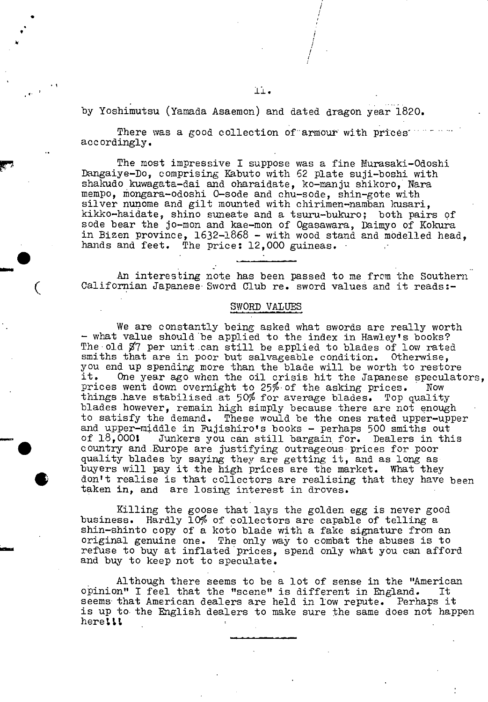by Yoshimutsu (Yamada Asaemon) and dated dragon year 1820.

There was a good collection of armour with prices accordingly.

The most impressive I suppose was a fine Murasaki-Odoshi Dangaiye-Do, comprising Kabuto with 62 plate suji-boshi with shakudo kuwagata-dai and oharaidate, ko-manju shikoro, Nara mempo, mongara-odoshi 0-sode and chu-sode, shin-gote with silver nunome and gilt mounted with chirimen-namban kusari, kikko-haidate, shino suneate and a tsuru-bukuro; both pairs of sode bear the jo-mon and kae-rnon of Ogasawara, Daimyo of Kokura in Bizen province, 1632-1868 - with wood stand and modelled head, hands and feet. The price: 12,000 guineas.

An interesting note has been passed to me from the Southern Californian Japanese Sword Club re. sword values and it reads:-

#### SWORD VALUES

We are constantly being asked what swords are really worth - what value should be applied to the index in Hawley's books? The old  $\frac{97}{7}$  per unit can still be applied to blades of low rated smiths that are in poor but salvageable condition. Otherwise, you end up spending more than the blade will be worth to restore<br>it. One year ago when the oil crisis hit the Japanese speculat One year ago when the oil crisis hit the Japanese speculators, prices went down overnight to 25% of the asking prices. Now things have stabilised at 50% for average blades. Top quality blades however, remain high simply because .there are not enough to satisfy the demand. These would be the ones rated upper-upper and upper-middle in Fujishiro's books - perhaps 500 smiths out of 18,0001 Junkers you can still bargain for. Dealers in this country and Europe are justifying outrageous prices for poor quality blades by saying they are getting it, and as long as buyers will pay it the high prices are the market. What they don't realise is that collectors are realising that they have been taken in, and are losing interest in droves.

> Killing the goose that lays the golden egg is never good business. Hardly 10% of collectors are capable of telling a shin-shinto copy of a koto blade with a fake signature from an original genuine one. The only way to combat the abuses is to refuse to buy at inflated prices, spend only what you can afford and buy to keep not to speculate.

Although there seems to be a lot of sense in the "American opinion" I feel that the "scene" is different in England. It seems that American dealers are held in low repute. Perhaps it is up to the English dealers to make sure the same does not happen heretti,

/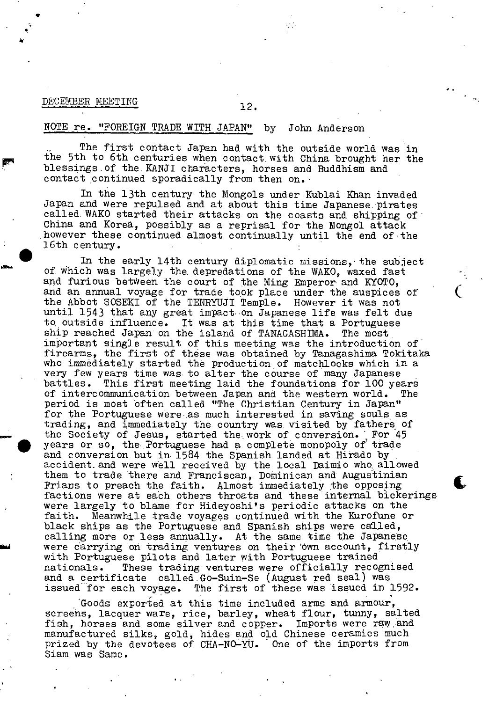# DECEMBER MEETING 12.

#### NOTE re. "FOREIGN TRADE WITH JAPAN" by John Anderson

The first contact Japan had with the outside world was in the 5th to 6th centuries when contact with China brought her the blessings.of the. KANJI characters, horses and Buddhism and contact continued sporadically from then on.

In the 13th century the Mongols under Kublai Ithan invaded Japan and were repulsed and at about this time Japanese pirates called. WAKO started their attacks on the coasts and shipping of China and Korea, possibly as a reprisal for the Mongol attack however these continued almost continually until the end of the 16th century. .

In the early 14th century diplomatic missions, the subject of. which was largely the, depredations of the WAKO, waxed fast and furious between the court of the Ming Emperor and KYOTO, and an annual voyage for trade took place under the auspices of the Abbot SOSEKI of the TENRYUJI Temple. However it was not until 1543 that any great impact on Japanese life was felt due to outside influence. It was at this time that a Portuguese ship reached Japan on the island of TANAGASHIMA. The most important single result of this meeting was the introduction of' firearms, the first of these was obtained by Tanagashima Tokitaka who immediately started the production of matchlocks which in a very few years time was. to alter the course of many Japanese battles. This first meeting laid the foundations for 100 years of intercommunication between Japan and the western world. The period is most 'often called "The Christian Century in Japan" for the Portuguese were.as much interested in saving souls as trading, and immediately the country was. visited by fathers of the Society of Jesus, started the., work of conversion. For 45 years Or so, the POrtuguese had a complete monopoly of trade and conversion but in 1584 the Spanish landed at Hirado by accident and were well received by the local Daimio who allowed them to trade 'there and Franciscan, Dominican and Augustinian Friars to preach the faith. Almost immediately the opposing factions were at each others throats and these internal bickerings were largely to blame for Hideyoshi's periodic attacks on the faith. Meanwhile trade voyages continued with the Kurofune or black ships as the Portuguese and Spanish ships were called, calling more or less annually. At the same time the Japanese were carrying on trading ventures on their 'own account, firstly with Portuguese pilots and later with Portuguese trained nationals. These trading ventures were officially recognised and a certificate called,Go-Suin-Se (August red seal) was issued for each voyage. The first of these was issued in 1592.

 $\epsilon$ 

, Goods exported at this time included arms and armour, screehs, lacquer ware, rice, barley, wheat flour, tunny, salted fish, horses and some silver and copper. Imports were raw and manufactured silks, gold, hides and old Chinese ceramics much prized by the devotees of CHA-NO-YU. One of the imports from Siam was Same.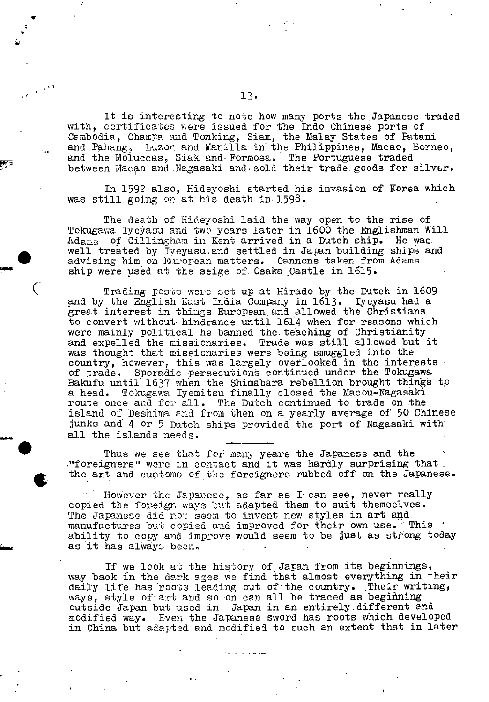It is interesting to note how many ports the Japanese traded with, certificates were issued for the Indo Chinese ports of Cambodia, Champa and Tonking, Siam, the Malay States of Patani and Pahang, Luzon and Wanilla in the Philippines, Macao, Borneo, and the Moluccas, Siak and Formosa. The Portuguese traded between Macao and Nagasaki and sold their trade goods for silver.

In 1592 also, Hideyoshi started his invasion of Korea which was still going on at his death in 1598.

The death of Hideyoshi laid the way open to the rise of Tokugawa Iyeyasu and two years later in 1600 the Englishman Will Adaz<sub>B</sub> of Gillingham in Kent arrived in a Dutch ship. He was.<br>well treated by Iyeyasu and settled in Japan building ships and The death of Hideyoshi laid the way open to the rise of<br>Tokugawa Iyeyasu and two years later in 1600 the Englishman Will<br>Adams of Gillingham in Kent arrived in a Dutch ship. He was<br>well treated by Iyeyasu and settled in Ja advising him on European matters. Cannons taken from Adams ship were used at the seige of. Osaka Castle in 1615.

> Trading posts were set up at Hirado by the Dutch in 1609 and by the English East India Company in 1613. Iyeyasu had a great interest in things European, and allowed the Christians to convert without hindrance until 1614 when for reasons which were mainly political he banned the teaching of Christianity and expelled the missionaries. Trade was still allowed but it was thought that missionaries were being smuggled into the country, however, this was largely overlooked in the interests of trade. Sporadic persecutions continued under the Tokugawa Bakufu until 1637 when the Shimabara rebellion brought things to a head. Tokugawa Iyemitsu finally closed the Macou-Nagasaki route once and for all. The Dutch continued to trade on the island of Deshima and from then on a yearly average of 50 Chinese junks and 4 or 5 Dutch ships provided the port of Iagasaki with all the islands needs.

> Thus we see that for many years the Japanese and the ."foreigners" were in contact and it was hardly surprising that the art and customs of the foreigners rubbed off on the Japanese.

•

However the Japanese, as far as I can see, never really copied the foreign ways but adapted them to suit themselves. The Japanese did not seem to invent new styles in art and manufactures but copied and improved for their own use. This ability to copy and improve would seem to be just as strong today as it has always been.

If we look at the history of Japan from its beginnings, way back in the dark ages we find that almost everything in their daily life has roots leading out of the country. Their writing, ways, style of art and so on can all be traced as beginning outside Japan but used in Japan in an entirely.different and modified way. Even the Japanese sword has roots which developed in China but adapted and modified to such an extent that in later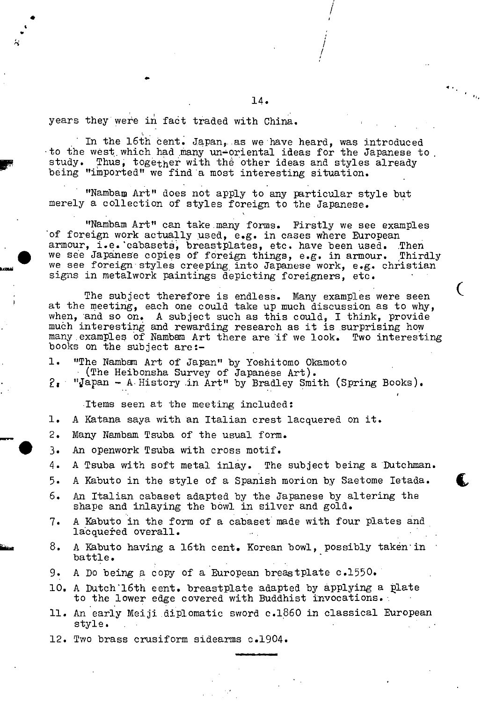years they were in fact traded with China.

 $\ddot{\phantom{0}}$ 

In the 16th cent. Japan, as we have heard, was introduced to the west which had many un-oriental ideas for the Japanese to In the 16th cent. Japan, as we have heard, was introduced<br>to the west which had many un-oriental ideas for the Japanese t<br>study. Thus, together with the other ideas and styles already<br>being "imported" we find a most intere being "imported" we find 'a most interesting situation.

> "Nambam Art" does not apply to any particular style but merely a collection of styles foreign to the Japanese.

"Nambam Art" can take many forms. Firstly we see examples of foreign work actually used, e.g. in cases where European armour, i.e.'cabasets, breastplates, etc. have been used. Then we see Japanese copies of foreign things, e.g. in armour. Thirdly we see foreign styles creeping into Japanese work, e.g.. christian signs in metalwork paintings depicting foreigners, etc.

The subject therefore is endless. Many examples were seen at the meeting, each one could take up much discussion as to why, when, and so on. A subject such as this could, I think, provide much interesting and rewarding research as it is surprising how many.examples of Nambam Art there are if we look. Two interesting books on the subject are:-

1. "The Namban Art of Japan" by Yoshitomo Okamoto (The Heibonsha Survey of Japanese Art).

"Japan - A History in Art" by Bradley Smith (Spring Books).  $2\cdot$ 

Items seen at the meeting included:

- 1. A Katana saya with an Italian crest lacquered on it.
- 2. Many Nambam Tsuba of the usual form.
- 3. An openwork Tsuba with cross motif.
- 4. A Tsuba with soft metal inlay. The subject being a Dutchman.
- 5. A Kabuto in the style of a Spanish morion by Saetome letada. C
- 6. An Italian cabaset adapted by the Japanese by altering the shape and inlaying the bowl in silver and gold.
- 7. A Kabuto in the form of a cabaset made with four plates and lacquered overall.
- 8. A Kabuto having a 16th cent. Korean bowl, possibly taken in battle.
- 9. A Do being a copy of a European breastplate c.1550.
- 10. A Dutch'16th cent. breastplate adapted by applying a plate to the lower edge covered with Buddhist invocations.'.
- 11. An early Meiji diplomatic sword c.1860 in classical European style.
- 12. Two brass crusiform sidearms c.1904.

I /

ı,

4.